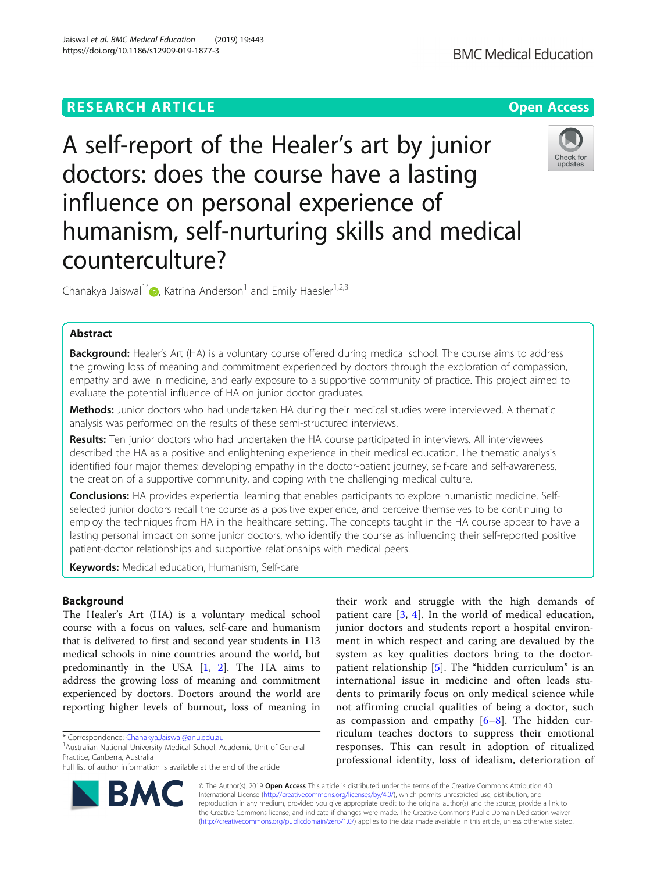# **RESEARCH ARTICLE Example 2014 12:30 The Contract of Contract ACCESS**

https://doi.org/10.1186/s12909-019-1877-3

Jaiswal et al. BMC Medical Education (2019) 19:443

A self-report of the Healer's art by junior doctors: does the course have a lasting influence on personal experience of humanism, self-nurturing skills and medical counterculture?

Chanakya Jaiswal<sup>1[\\*](http://orcid.org/0000-0002-7904-6356)</sup>  $\bullet$ , Katrina Anderson<sup>1</sup> and Emily Haesler<sup>1,2,3</sup>

## Abstract

Background: Healer's Art (HA) is a voluntary course offered during medical school. The course aims to address the growing loss of meaning and commitment experienced by doctors through the exploration of compassion, empathy and awe in medicine, and early exposure to a supportive community of practice. This project aimed to evaluate the potential influence of HA on junior doctor graduates.

Methods: Junior doctors who had undertaken HA during their medical studies were interviewed. A thematic analysis was performed on the results of these semi-structured interviews.

Results: Ten junior doctors who had undertaken the HA course participated in interviews. All interviewees described the HA as a positive and enlightening experience in their medical education. The thematic analysis identified four major themes: developing empathy in the doctor-patient journey, self-care and self-awareness, the creation of a supportive community, and coping with the challenging medical culture.

Conclusions: HA provides experiential learning that enables participants to explore humanistic medicine. Selfselected junior doctors recall the course as a positive experience, and perceive themselves to be continuing to employ the techniques from HA in the healthcare setting. The concepts taught in the HA course appear to have a lasting personal impact on some junior doctors, who identify the course as influencing their self-reported positive patient-doctor relationships and supportive relationships with medical peers.

Keywords: Medical education, Humanism, Self-care

## Background

The Healer's Art (HA) is a voluntary medical school course with a focus on values, self-care and humanism that is delivered to first and second year students in 113 medical schools in nine countries around the world, but predominantly in the USA [\[1](#page-8-0), [2\]](#page-8-0). The HA aims to address the growing loss of meaning and commitment experienced by doctors. Doctors around the world are reporting higher levels of burnout, loss of meaning in

© The Author(s). 2019 **Open Access** This article is distributed under the terms of the Creative Commons Attribution 4.0 International License [\(http://creativecommons.org/licenses/by/4.0/](http://creativecommons.org/licenses/by/4.0/)), which permits unrestricted use, distribution, and reproduction in any medium, provided you give appropriate credit to the original author(s) and the source, provide a link to the Creative Commons license, and indicate if changes were made. The Creative Commons Public Domain Dedication waiver [\(http://creativecommons.org/publicdomain/zero/1.0/](http://creativecommons.org/publicdomain/zero/1.0/)) applies to the data made available in this article, unless otherwise stated.

their work and struggle with the high demands of patient care [[3,](#page-8-0) [4\]](#page-8-0). In the world of medical education, junior doctors and students report a hospital environment in which respect and caring are devalued by the system as key qualities doctors bring to the doctorpatient relationship [\[5](#page-8-0)]. The "hidden curriculum" is an international issue in medicine and often leads students to primarily focus on only medical science while not affirming crucial qualities of being a doctor, such as compassion and empathy  $[6-8]$  $[6-8]$  $[6-8]$  $[6-8]$  $[6-8]$ . The hidden curriculum teaches doctors to suppress their emotional responses. This can result in adoption of ritualized professional identity, loss of idealism, deterioration of







<sup>\*</sup> Correspondence: [Chanakya.Jaiswal@anu.edu.au](mailto:Chanakya.Jaiswal@anu.edu.au) <sup>1</sup>

Australian National University Medical School, Academic Unit of General Practice, Canberra, Australia

Full list of author information is available at the end of the article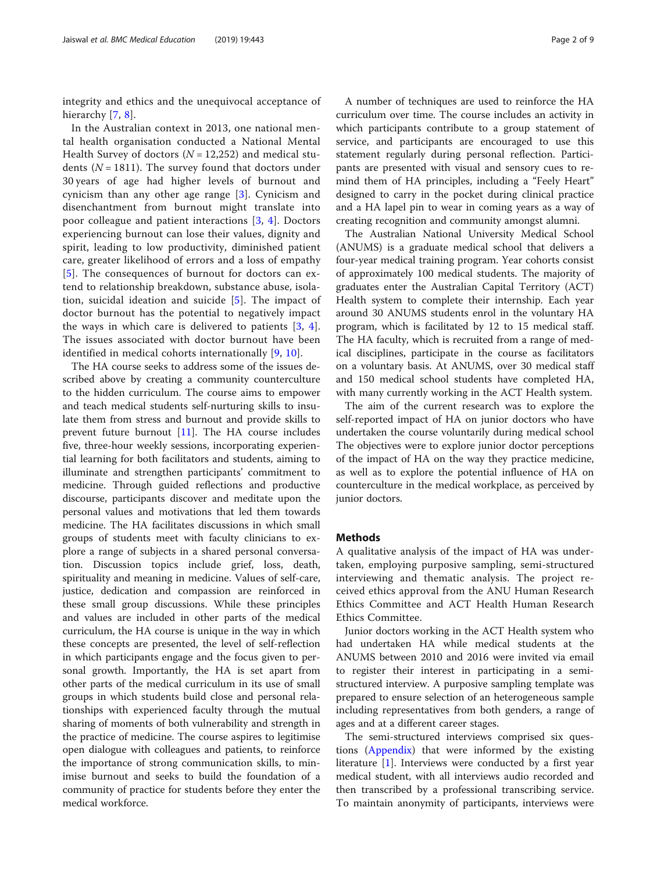integrity and ethics and the unequivocal acceptance of hierarchy [\[7](#page-8-0), [8\]](#page-8-0).

In the Australian context in 2013, one national mental health organisation conducted a National Mental Health Survey of doctors ( $N = 12,252$ ) and medical students ( $N = 1811$ ). The survey found that doctors under 30 years of age had higher levels of burnout and cynicism than any other age range [[3\]](#page-8-0). Cynicism and disenchantment from burnout might translate into poor colleague and patient interactions [[3,](#page-8-0) [4\]](#page-8-0). Doctors experiencing burnout can lose their values, dignity and spirit, leading to low productivity, diminished patient care, greater likelihood of errors and a loss of empathy [[5](#page-8-0)]. The consequences of burnout for doctors can extend to relationship breakdown, substance abuse, isolation, suicidal ideation and suicide [[5\]](#page-8-0). The impact of doctor burnout has the potential to negatively impact the ways in which care is delivered to patients [\[3,](#page-8-0) [4](#page-8-0)]. The issues associated with doctor burnout have been identified in medical cohorts internationally [[9,](#page-8-0) [10](#page-8-0)].

The HA course seeks to address some of the issues described above by creating a community counterculture to the hidden curriculum. The course aims to empower and teach medical students self-nurturing skills to insulate them from stress and burnout and provide skills to prevent future burnout [[11\]](#page-8-0). The HA course includes five, three-hour weekly sessions, incorporating experiential learning for both facilitators and students, aiming to illuminate and strengthen participants' commitment to medicine. Through guided reflections and productive discourse, participants discover and meditate upon the personal values and motivations that led them towards medicine. The HA facilitates discussions in which small groups of students meet with faculty clinicians to explore a range of subjects in a shared personal conversation. Discussion topics include grief, loss, death, spirituality and meaning in medicine. Values of self-care, justice, dedication and compassion are reinforced in these small group discussions. While these principles and values are included in other parts of the medical curriculum, the HA course is unique in the way in which these concepts are presented, the level of self-reflection in which participants engage and the focus given to personal growth. Importantly, the HA is set apart from other parts of the medical curriculum in its use of small groups in which students build close and personal relationships with experienced faculty through the mutual sharing of moments of both vulnerability and strength in the practice of medicine. The course aspires to legitimise open dialogue with colleagues and patients, to reinforce the importance of strong communication skills, to minimise burnout and seeks to build the foundation of a community of practice for students before they enter the medical workforce.

A number of techniques are used to reinforce the HA curriculum over time. The course includes an activity in which participants contribute to a group statement of service, and participants are encouraged to use this statement regularly during personal reflection. Participants are presented with visual and sensory cues to remind them of HA principles, including a "Feely Heart" designed to carry in the pocket during clinical practice and a HA lapel pin to wear in coming years as a way of creating recognition and community amongst alumni.

The Australian National University Medical School (ANUMS) is a graduate medical school that delivers a four-year medical training program. Year cohorts consist of approximately 100 medical students. The majority of graduates enter the Australian Capital Territory (ACT) Health system to complete their internship. Each year around 30 ANUMS students enrol in the voluntary HA program, which is facilitated by 12 to 15 medical staff. The HA faculty, which is recruited from a range of medical disciplines, participate in the course as facilitators on a voluntary basis. At ANUMS, over 30 medical staff and 150 medical school students have completed HA, with many currently working in the ACT Health system.

The aim of the current research was to explore the self-reported impact of HA on junior doctors who have undertaken the course voluntarily during medical school The objectives were to explore junior doctor perceptions of the impact of HA on the way they practice medicine, as well as to explore the potential influence of HA on counterculture in the medical workplace, as perceived by junior doctors.

## **Methods**

A qualitative analysis of the impact of HA was undertaken, employing purposive sampling, semi-structured interviewing and thematic analysis. The project received ethics approval from the ANU Human Research Ethics Committee and ACT Health Human Research Ethics Committee.

Junior doctors working in the ACT Health system who had undertaken HA while medical students at the ANUMS between 2010 and 2016 were invited via email to register their interest in participating in a semistructured interview. A purposive sampling template was prepared to ensure selection of an heterogeneous sample including representatives from both genders, a range of ages and at a different career stages.

The semi-structured interviews comprised six questions ([Appendix\)](#page-7-0) that were informed by the existing literature [\[1](#page-8-0)]. Interviews were conducted by a first year medical student, with all interviews audio recorded and then transcribed by a professional transcribing service. To maintain anonymity of participants, interviews were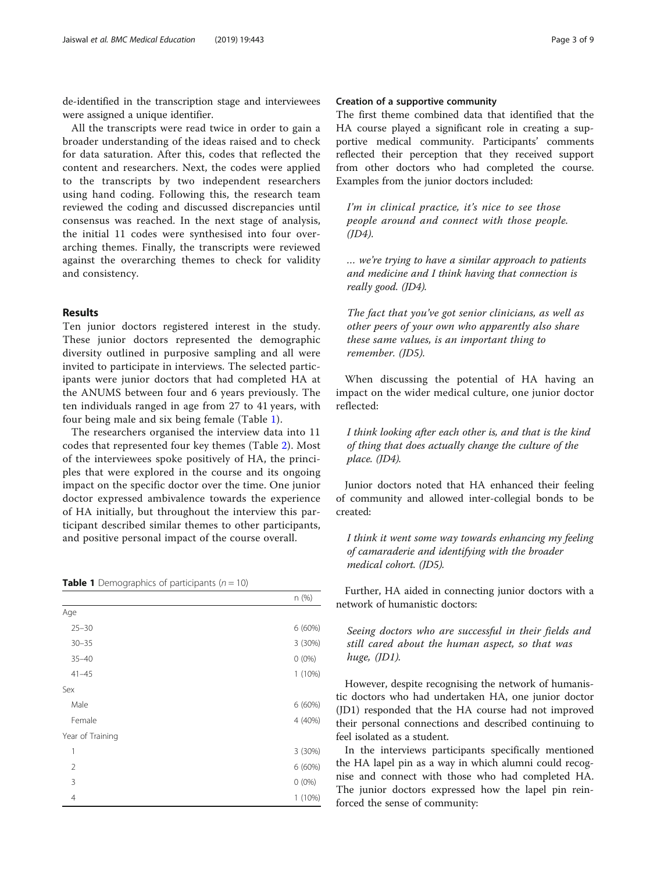de-identified in the transcription stage and interviewees were assigned a unique identifier.

All the transcripts were read twice in order to gain a broader understanding of the ideas raised and to check for data saturation. After this, codes that reflected the content and researchers. Next, the codes were applied to the transcripts by two independent researchers using hand coding. Following this, the research team reviewed the coding and discussed discrepancies until consensus was reached. In the next stage of analysis, the initial 11 codes were synthesised into four overarching themes. Finally, the transcripts were reviewed against the overarching themes to check for validity and consistency.

## Results

Ten junior doctors registered interest in the study. These junior doctors represented the demographic diversity outlined in purposive sampling and all were invited to participate in interviews. The selected participants were junior doctors that had completed HA at the ANUMS between four and 6 years previously. The ten individuals ranged in age from 27 to 41 years, with four being male and six being female (Table 1).

The researchers organised the interview data into 11 codes that represented four key themes (Table [2](#page-3-0)). Most of the interviewees spoke positively of HA, the principles that were explored in the course and its ongoing impact on the specific doctor over the time. One junior doctor expressed ambivalence towards the experience of HA initially, but throughout the interview this participant described similar themes to other participants, and positive personal impact of the course overall.

**Table 1** Demographics of participants ( $n = 10$ )

|                  | n (%)    |
|------------------|----------|
| Age              |          |
| $25 - 30$        | 6 (60%)  |
| $30 - 35$        | 3 (30%)  |
| $35 - 40$        | $0(0\%)$ |
| $41 - 45$        | 1 (10%)  |
| Sex              |          |
| Male             | 6 (60%)  |
| Female           | 4 (40%)  |
| Year of Training |          |
| 1                | 3 (30%)  |
| $\overline{2}$   | 6 (60%)  |
| 3                | $0(0\%)$ |
| 4                | 1 (10%)  |
|                  |          |

## Creation of a supportive community

The first theme combined data that identified that the HA course played a significant role in creating a supportive medical community. Participants' comments reflected their perception that they received support from other doctors who had completed the course. Examples from the junior doctors included:

I'm in clinical practice, it's nice to see those people around and connect with those people. (JD4).

… we're trying to have a similar approach to patients and medicine and I think having that connection is really good. (JD4).

The fact that you've got senior clinicians, as well as other peers of your own who apparently also share these same values, is an important thing to remember. (JD5).

When discussing the potential of HA having an impact on the wider medical culture, one junior doctor reflected:

I think looking after each other is, and that is the kind of thing that does actually change the culture of the place. (JD4).

Junior doctors noted that HA enhanced their feeling of community and allowed inter-collegial bonds to be created:

I think it went some way towards enhancing my feeling of camaraderie and identifying with the broader medical cohort. (JD5).

Further, HA aided in connecting junior doctors with a network of humanistic doctors:

Seeing doctors who are successful in their fields and still cared about the human aspect, so that was huge, (JD1).

However, despite recognising the network of humanistic doctors who had undertaken HA, one junior doctor (JD1) responded that the HA course had not improved their personal connections and described continuing to feel isolated as a student.

In the interviews participants specifically mentioned the HA lapel pin as a way in which alumni could recognise and connect with those who had completed HA. The junior doctors expressed how the lapel pin reinforced the sense of community: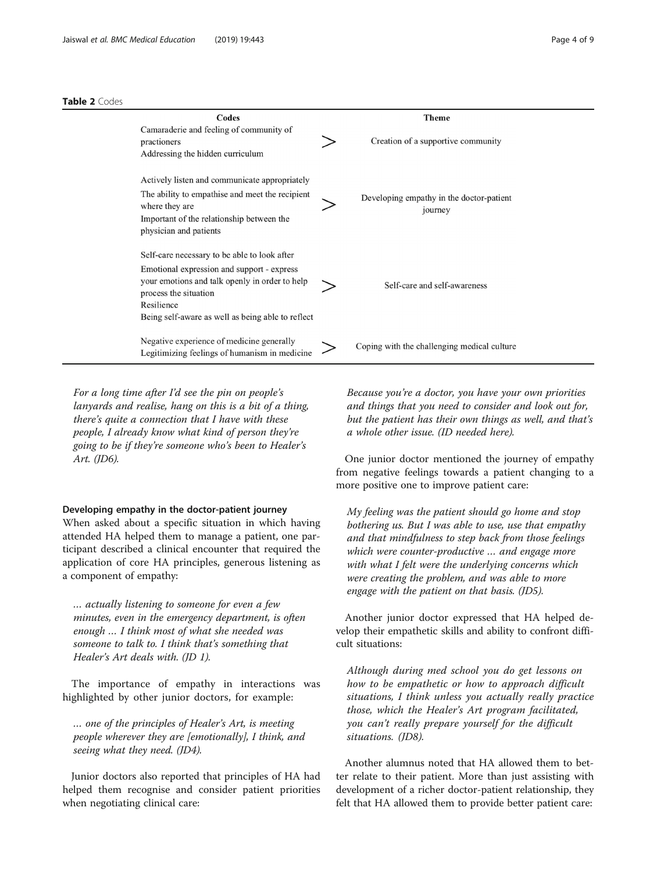## <span id="page-3-0"></span>Table 2 Codes

| $\blacktriangle$ Coucs |                                                                                                                                                                                                                                          |                                                     |
|------------------------|------------------------------------------------------------------------------------------------------------------------------------------------------------------------------------------------------------------------------------------|-----------------------------------------------------|
|                        | Codes                                                                                                                                                                                                                                    | <b>Theme</b>                                        |
|                        | Camaraderie and feeling of community of<br>practioners<br>Addressing the hidden curriculum                                                                                                                                               | Creation of a supportive community                  |
|                        | Actively listen and communicate appropriately<br>The ability to empathise and meet the recipient<br>where they are<br>Important of the relationship between the<br>physician and patients                                                | Developing empathy in the doctor-patient<br>journey |
|                        | Self-care necessary to be able to look after<br>Emotional expression and support - express<br>your emotions and talk openly in order to help<br>process the situation<br>Resilience<br>Being self-aware as well as being able to reflect | Self-care and self-awareness                        |
|                        | Negative experience of medicine generally<br>Legitimizing feelings of humanism in medicine                                                                                                                                               | Coping with the challenging medical culture         |

For a long time after I'd see the pin on people's lanyards and realise, hang on this is a bit of a thing, there's quite a connection that I have with these people, I already know what kind of person they're going to be if they're someone who's been to Healer's Art. (JD6).

## Developing empathy in the doctor-patient journey

When asked about a specific situation in which having attended HA helped them to manage a patient, one participant described a clinical encounter that required the application of core HA principles, generous listening as a component of empathy:

… actually listening to someone for even a few minutes, even in the emergency department, is often enough … I think most of what she needed was someone to talk to. I think that's something that Healer's Art deals with. (JD 1).

The importance of empathy in interactions was highlighted by other junior doctors, for example:

… one of the principles of Healer's Art, is meeting people wherever they are [emotionally], I think, and seeing what they need. (JD4).

Junior doctors also reported that principles of HA had helped them recognise and consider patient priorities when negotiating clinical care:

Because you're a doctor, you have your own priorities and things that you need to consider and look out for, but the patient has their own things as well, and that's a whole other issue. (ID needed here).

One junior doctor mentioned the journey of empathy from negative feelings towards a patient changing to a more positive one to improve patient care:

My feeling was the patient should go home and stop bothering us. But I was able to use, use that empathy and that mindfulness to step back from those feelings which were counter-productive … and engage more with what I felt were the underlying concerns which were creating the problem, and was able to more engage with the patient on that basis. (JD5).

Another junior doctor expressed that HA helped develop their empathetic skills and ability to confront difficult situations:

Although during med school you do get lessons on how to be empathetic or how to approach difficult situations, I think unless you actually really practice those, which the Healer's Art program facilitated, you can't really prepare yourself for the difficult situations. (JD8).

Another alumnus noted that HA allowed them to better relate to their patient. More than just assisting with development of a richer doctor-patient relationship, they felt that HA allowed them to provide better patient care: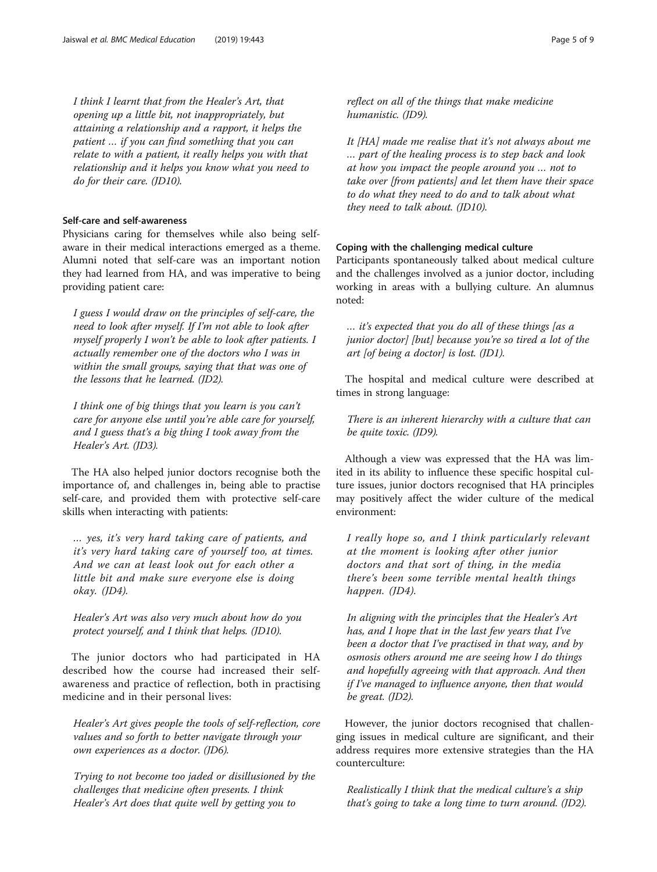I think I learnt that from the Healer's Art, that opening up a little bit, not inappropriately, but attaining a relationship and a rapport, it helps the patient … if you can find something that you can relate to with a patient, it really helps you with that relationship and it helps you know what you need to do for their care. (JD10).

## Self-care and self-awareness

Physicians caring for themselves while also being selfaware in their medical interactions emerged as a theme. Alumni noted that self-care was an important notion they had learned from HA, and was imperative to being providing patient care:

I guess I would draw on the principles of self-care, the need to look after myself. If I'm not able to look after myself properly I won't be able to look after patients. I actually remember one of the doctors who I was in within the small groups, saying that that was one of the lessons that he learned. (JD2).

I think one of big things that you learn is you can't care for anyone else until you're able care for yourself, and I guess that's a big thing I took away from the Healer's Art. (JD3).

The HA also helped junior doctors recognise both the importance of, and challenges in, being able to practise self-care, and provided them with protective self-care skills when interacting with patients:

… yes, it's very hard taking care of patients, and it's very hard taking care of yourself too, at times. And we can at least look out for each other a little bit and make sure everyone else is doing okay. (JD4).

Healer's Art was also very much about how do you protect yourself, and I think that helps. (JD10).

The junior doctors who had participated in HA described how the course had increased their selfawareness and practice of reflection, both in practising medicine and in their personal lives:

Healer's Art gives people the tools of self-reflection, core values and so forth to better navigate through your own experiences as a doctor. (JD6).

Trying to not become too jaded or disillusioned by the challenges that medicine often presents. I think Healer's Art does that quite well by getting you to

reflect on all of the things that make medicine humanistic. (JD9).

It [HA] made me realise that it's not always about me … part of the healing process is to step back and look at how you impact the people around you … not to take over [from patients] and let them have their space to do what they need to do and to talk about what they need to talk about. (JD10).

## Coping with the challenging medical culture

Participants spontaneously talked about medical culture and the challenges involved as a junior doctor, including working in areas with a bullying culture. An alumnus noted:

… it's expected that you do all of these things [as a junior doctor] [but] because you're so tired a lot of the art  $[of being a doctor]$  is lost.  $([D1)$ .

The hospital and medical culture were described at times in strong language:

There is an inherent hierarchy with a culture that can be quite toxic. (JD9).

Although a view was expressed that the HA was limited in its ability to influence these specific hospital culture issues, junior doctors recognised that HA principles may positively affect the wider culture of the medical environment:

I really hope so, and I think particularly relevant at the moment is looking after other junior doctors and that sort of thing, in the media there's been some terrible mental health things happen. (JD4).

In aligning with the principles that the Healer's Art has, and I hope that in the last few years that I've been a doctor that I've practised in that way, and by osmosis others around me are seeing how I do things and hopefully agreeing with that approach. And then if I've managed to influence anyone, then that would be great. (JD2).

However, the junior doctors recognised that challenging issues in medical culture are significant, and their address requires more extensive strategies than the HA counterculture:

Realistically I think that the medical culture's a ship that's going to take a long time to turn around. (JD2).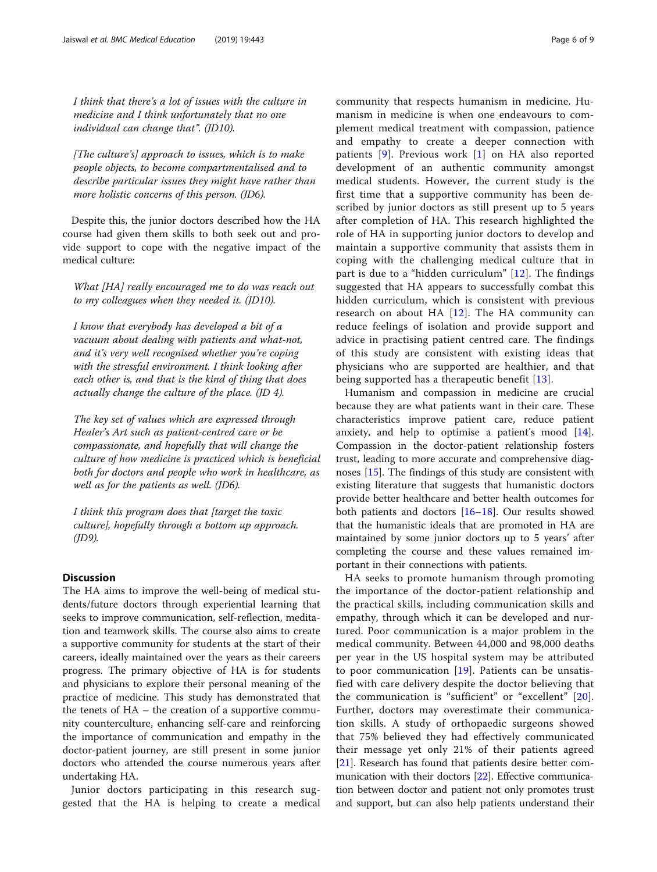I think that there's a lot of issues with the culture in medicine and I think unfortunately that no one individual can change that". (JD10).

[The culture's] approach to issues, which is to make people objects, to become compartmentalised and to describe particular issues they might have rather than more holistic concerns of this person. (JD6).

Despite this, the junior doctors described how the HA course had given them skills to both seek out and provide support to cope with the negative impact of the medical culture:

What [HA] really encouraged me to do was reach out to my colleagues when they needed it. (JD10).

I know that everybody has developed a bit of a vacuum about dealing with patients and what-not, and it's very well recognised whether you're coping with the stressful environment. I think looking after each other is, and that is the kind of thing that does actually change the culture of the place. (JD 4).

The key set of values which are expressed through Healer's Art such as patient-centred care or be compassionate, and hopefully that will change the culture of how medicine is practiced which is beneficial both for doctors and people who work in healthcare, as well as for the patients as well. (JD6).

I think this program does that [target the toxic culture], hopefully through a bottom up approach.  $(ID9).$ 

## **Discussion**

The HA aims to improve the well-being of medical students/future doctors through experiential learning that seeks to improve communication, self-reflection, meditation and teamwork skills. The course also aims to create a supportive community for students at the start of their careers, ideally maintained over the years as their careers progress. The primary objective of HA is for students and physicians to explore their personal meaning of the practice of medicine. This study has demonstrated that the tenets of HA – the creation of a supportive community counterculture, enhancing self-care and reinforcing the importance of communication and empathy in the doctor-patient journey, are still present in some junior doctors who attended the course numerous years after undertaking HA.

Junior doctors participating in this research suggested that the HA is helping to create a medical

community that respects humanism in medicine. Humanism in medicine is when one endeavours to complement medical treatment with compassion, patience and empathy to create a deeper connection with patients [\[9](#page-8-0)]. Previous work [\[1](#page-8-0)] on HA also reported development of an authentic community amongst medical students. However, the current study is the first time that a supportive community has been described by junior doctors as still present up to 5 years after completion of HA. This research highlighted the role of HA in supporting junior doctors to develop and maintain a supportive community that assists them in coping with the challenging medical culture that in part is due to a "hidden curriculum" [[12](#page-8-0)]. The findings suggested that HA appears to successfully combat this hidden curriculum, which is consistent with previous research on about HA [[12\]](#page-8-0). The HA community can reduce feelings of isolation and provide support and advice in practising patient centred care. The findings of this study are consistent with existing ideas that physicians who are supported are healthier, and that being supported has a therapeutic benefit [\[13](#page-8-0)].

Humanism and compassion in medicine are crucial because they are what patients want in their care. These characteristics improve patient care, reduce patient anxiety, and help to optimise a patient's mood [\[14](#page-8-0)]. Compassion in the doctor-patient relationship fosters trust, leading to more accurate and comprehensive diagnoses [[15](#page-8-0)]. The findings of this study are consistent with existing literature that suggests that humanistic doctors provide better healthcare and better health outcomes for both patients and doctors [\[16](#page-8-0)–[18\]](#page-8-0). Our results showed that the humanistic ideals that are promoted in HA are maintained by some junior doctors up to 5 years' after completing the course and these values remained important in their connections with patients.

HA seeks to promote humanism through promoting the importance of the doctor-patient relationship and the practical skills, including communication skills and empathy, through which it can be developed and nurtured. Poor communication is a major problem in the medical community. Between 44,000 and 98,000 deaths per year in the US hospital system may be attributed to poor communication  $[19]$  $[19]$  $[19]$ . Patients can be unsatisfied with care delivery despite the doctor believing that the communication is "sufficient" or "excellent" [[20](#page-8-0)]. Further, doctors may overestimate their communication skills. A study of orthopaedic surgeons showed that 75% believed they had effectively communicated their message yet only 21% of their patients agreed [[21](#page-8-0)]. Research has found that patients desire better communication with their doctors [[22](#page-8-0)]. Effective communication between doctor and patient not only promotes trust and support, but can also help patients understand their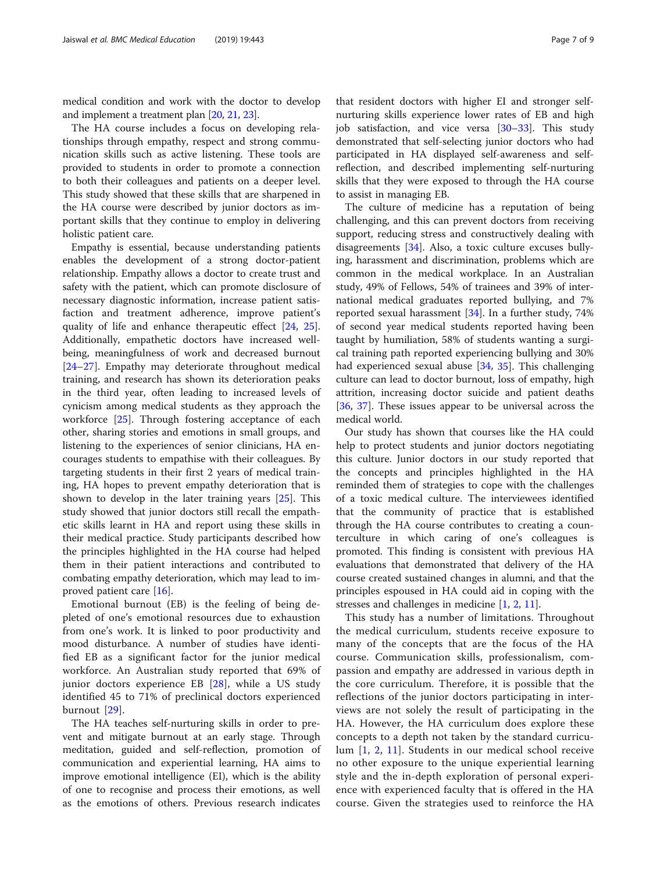medical condition and work with the doctor to develop and implement a treatment plan [[20](#page-8-0), [21,](#page-8-0) [23](#page-8-0)].

The HA course includes a focus on developing relationships through empathy, respect and strong communication skills such as active listening. These tools are provided to students in order to promote a connection to both their colleagues and patients on a deeper level. This study showed that these skills that are sharpened in the HA course were described by junior doctors as important skills that they continue to employ in delivering holistic patient care.

Empathy is essential, because understanding patients enables the development of a strong doctor-patient relationship. Empathy allows a doctor to create trust and safety with the patient, which can promote disclosure of necessary diagnostic information, increase patient satisfaction and treatment adherence, improve patient's quality of life and enhance therapeutic effect [[24](#page-8-0), [25](#page-8-0)]. Additionally, empathetic doctors have increased wellbeing, meaningfulness of work and decreased burnout [[24](#page-8-0)–[27](#page-8-0)]. Empathy may deteriorate throughout medical training, and research has shown its deterioration peaks in the third year, often leading to increased levels of cynicism among medical students as they approach the workforce [\[25\]](#page-8-0). Through fostering acceptance of each other, sharing stories and emotions in small groups, and listening to the experiences of senior clinicians, HA encourages students to empathise with their colleagues. By targeting students in their first 2 years of medical training, HA hopes to prevent empathy deterioration that is shown to develop in the later training years [[25\]](#page-8-0). This study showed that junior doctors still recall the empathetic skills learnt in HA and report using these skills in their medical practice. Study participants described how the principles highlighted in the HA course had helped them in their patient interactions and contributed to combating empathy deterioration, which may lead to improved patient care [\[16\]](#page-8-0).

Emotional burnout (EB) is the feeling of being depleted of one's emotional resources due to exhaustion from one's work. It is linked to poor productivity and mood disturbance. A number of studies have identified EB as a significant factor for the junior medical workforce. An Australian study reported that 69% of junior doctors experience EB [[28](#page-8-0)], while a US study identified 45 to 71% of preclinical doctors experienced burnout [[29\]](#page-8-0).

The HA teaches self-nurturing skills in order to prevent and mitigate burnout at an early stage. Through meditation, guided and self-reflection, promotion of communication and experiential learning, HA aims to improve emotional intelligence (EI), which is the ability of one to recognise and process their emotions, as well as the emotions of others. Previous research indicates

that resident doctors with higher EI and stronger selfnurturing skills experience lower rates of EB and high job satisfaction, and vice versa [[30](#page-8-0)–[33\]](#page-8-0). This study demonstrated that self-selecting junior doctors who had participated in HA displayed self-awareness and selfreflection, and described implementing self-nurturing skills that they were exposed to through the HA course to assist in managing EB.

The culture of medicine has a reputation of being challenging, and this can prevent doctors from receiving support, reducing stress and constructively dealing with disagreements [\[34\]](#page-8-0). Also, a toxic culture excuses bullying, harassment and discrimination, problems which are common in the medical workplace. In an Australian study, 49% of Fellows, 54% of trainees and 39% of international medical graduates reported bullying, and 7% reported sexual harassment [[34](#page-8-0)]. In a further study, 74% of second year medical students reported having been taught by humiliation, 58% of students wanting a surgical training path reported experiencing bullying and 30% had experienced sexual abuse [\[34](#page-8-0), [35\]](#page-8-0). This challenging culture can lead to doctor burnout, loss of empathy, high attrition, increasing doctor suicide and patient deaths [[36,](#page-8-0) [37\]](#page-8-0). These issues appear to be universal across the medical world.

Our study has shown that courses like the HA could help to protect students and junior doctors negotiating this culture. Junior doctors in our study reported that the concepts and principles highlighted in the HA reminded them of strategies to cope with the challenges of a toxic medical culture. The interviewees identified that the community of practice that is established through the HA course contributes to creating a counterculture in which caring of one's colleagues is promoted. This finding is consistent with previous HA evaluations that demonstrated that delivery of the HA course created sustained changes in alumni, and that the principles espoused in HA could aid in coping with the stresses and challenges in medicine [\[1](#page-8-0), [2](#page-8-0), [11](#page-8-0)].

This study has a number of limitations. Throughout the medical curriculum, students receive exposure to many of the concepts that are the focus of the HA course. Communication skills, professionalism, compassion and empathy are addressed in various depth in the core curriculum. Therefore, it is possible that the reflections of the junior doctors participating in interviews are not solely the result of participating in the HA. However, the HA curriculum does explore these concepts to a depth not taken by the standard curriculum [\[1](#page-8-0), [2,](#page-8-0) [11](#page-8-0)]. Students in our medical school receive no other exposure to the unique experiential learning style and the in-depth exploration of personal experience with experienced faculty that is offered in the HA course. Given the strategies used to reinforce the HA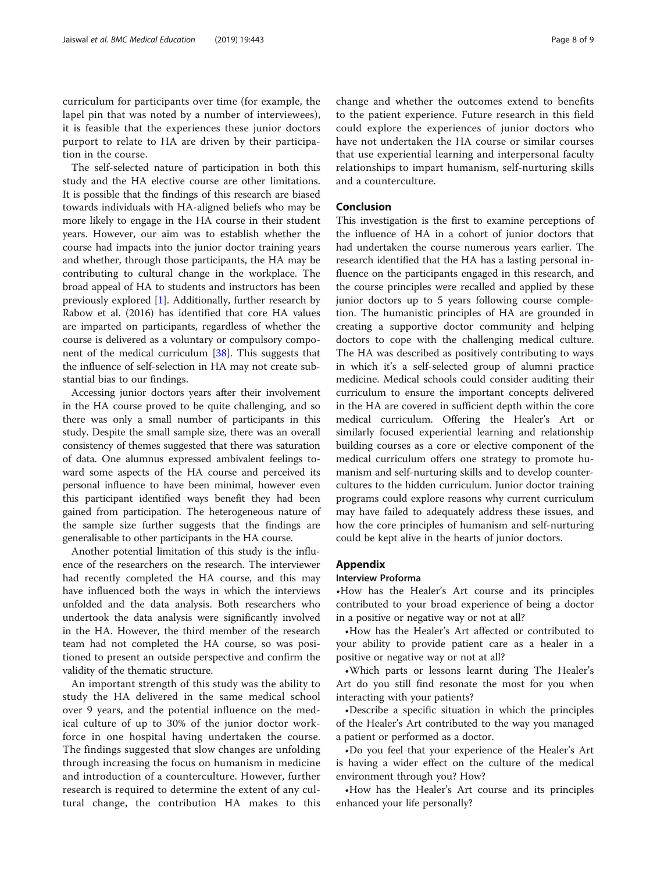<span id="page-7-0"></span>The self-selected nature of participation in both this study and the HA elective course are other limitations. It is possible that the findings of this research are biased towards individuals with HA-aligned beliefs who may be more likely to engage in the HA course in their student years. However, our aim was to establish whether the course had impacts into the junior doctor training years and whether, through those participants, the HA may be contributing to cultural change in the workplace. The broad appeal of HA to students and instructors has been previously explored [\[1](#page-8-0)]. Additionally, further research by Rabow et al. (2016) has identified that core HA values are imparted on participants, regardless of whether the course is delivered as a voluntary or compulsory component of the medical curriculum [[38\]](#page-8-0). This suggests that the influence of self-selection in HA may not create substantial bias to our findings.

Accessing junior doctors years after their involvement in the HA course proved to be quite challenging, and so there was only a small number of participants in this study. Despite the small sample size, there was an overall consistency of themes suggested that there was saturation of data. One alumnus expressed ambivalent feelings toward some aspects of the HA course and perceived its personal influence to have been minimal, however even this participant identified ways benefit they had been gained from participation. The heterogeneous nature of the sample size further suggests that the findings are generalisable to other participants in the HA course.

Another potential limitation of this study is the influence of the researchers on the research. The interviewer had recently completed the HA course, and this may have influenced both the ways in which the interviews unfolded and the data analysis. Both researchers who undertook the data analysis were significantly involved in the HA. However, the third member of the research team had not completed the HA course, so was positioned to present an outside perspective and confirm the validity of the thematic structure.

An important strength of this study was the ability to study the HA delivered in the same medical school over 9 years, and the potential influence on the medical culture of up to 30% of the junior doctor workforce in one hospital having undertaken the course. The findings suggested that slow changes are unfolding through increasing the focus on humanism in medicine and introduction of a counterculture. However, further research is required to determine the extent of any cultural change, the contribution HA makes to this change and whether the outcomes extend to benefits to the patient experience. Future research in this field could explore the experiences of junior doctors who have not undertaken the HA course or similar courses that use experiential learning and interpersonal faculty relationships to impart humanism, self-nurturing skills and a counterculture.

## Conclusion

This investigation is the first to examine perceptions of the influence of HA in a cohort of junior doctors that had undertaken the course numerous years earlier. The research identified that the HA has a lasting personal influence on the participants engaged in this research, and the course principles were recalled and applied by these junior doctors up to 5 years following course completion. The humanistic principles of HA are grounded in creating a supportive doctor community and helping doctors to cope with the challenging medical culture. The HA was described as positively contributing to ways in which it's a self-selected group of alumni practice medicine. Medical schools could consider auditing their curriculum to ensure the important concepts delivered in the HA are covered in sufficient depth within the core medical curriculum. Offering the Healer's Art or similarly focused experiential learning and relationship building courses as a core or elective component of the medical curriculum offers one strategy to promote humanism and self-nurturing skills and to develop countercultures to the hidden curriculum. Junior doctor training programs could explore reasons why current curriculum may have failed to adequately address these issues, and how the core principles of humanism and self-nurturing could be kept alive in the hearts of junior doctors.

## Appendix

## Interview Proforma

•How has the Healer's Art course and its principles contributed to your broad experience of being a doctor in a positive or negative way or not at all?

•How has the Healer's Art affected or contributed to your ability to provide patient care as a healer in a positive or negative way or not at all?

•Which parts or lessons learnt during The Healer's Art do you still find resonate the most for you when interacting with your patients?

•Describe a specific situation in which the principles of the Healer's Art contributed to the way you managed a patient or performed as a doctor.

•Do you feel that your experience of the Healer's Art is having a wider effect on the culture of the medical environment through you? How?

•How has the Healer's Art course and its principles enhanced your life personally?